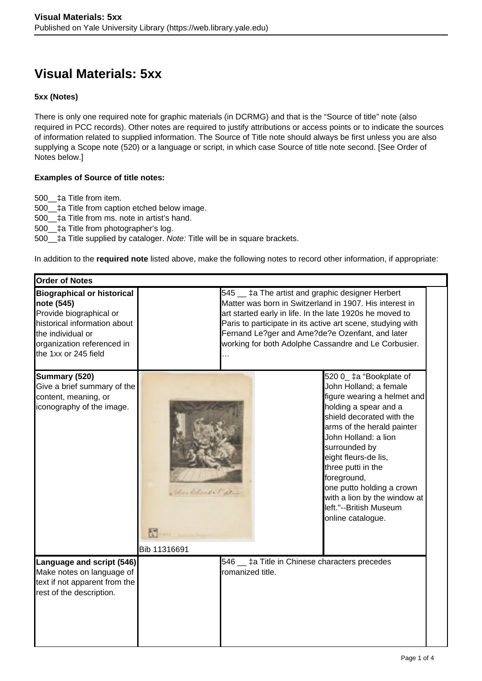## **Visual Materials: 5xx**

## **5xx (Notes)**

There is only one required note for graphic materials (in DCRMG) and that is the "Source of title" note (also required in PCC records). Other notes are required to justify attributions or access points or to indicate the sources of information related to supplied information. The Source of Title note should always be first unless you are also supplying a Scope note (520) or a language or script, in which case Source of title note second. [See Order of Notes below.]

## **Examples of Source of title notes:**

500\_\_‡a Title from item.

500\_\_‡a Title from caption etched below image.

500\_\_‡a Title from ms. note in artist's hand.

500\_\_‡a Title from photographer's log.

500\_\_‡a Title supplied by cataloger. Note: Title will be in square brackets.

In addition to the **required note** listed above, make the following notes to record other information, if appropriate:

| <b>Order of Notes</b>                                                                                                                                                                 |                                                                                                                                                                                                                                                                                                                                                              |                                                                               |                                                                                                                                                                                                                                                                                                                                                                                        |
|---------------------------------------------------------------------------------------------------------------------------------------------------------------------------------------|--------------------------------------------------------------------------------------------------------------------------------------------------------------------------------------------------------------------------------------------------------------------------------------------------------------------------------------------------------------|-------------------------------------------------------------------------------|----------------------------------------------------------------------------------------------------------------------------------------------------------------------------------------------------------------------------------------------------------------------------------------------------------------------------------------------------------------------------------------|
| <b>Biographical or historical</b><br>note (545)<br>Provide biographical or<br>historical information about<br>the individual or<br>organization referenced in<br>the 1xx or 245 field | 545 <sub>-</sub> ‡a The artist and graphic designer Herbert<br>Matter was born in Switzerland in 1907. His interest in<br>art started early in life. In the late 1920s he moved to<br>Paris to participate in its active art scene, studying with<br>Fernand Le?ger and Ame?de?e Ozenfant, and later<br>working for both Adolphe Cassandre and Le Corbusier. |                                                                               |                                                                                                                                                                                                                                                                                                                                                                                        |
| Summary (520)<br>Give a brief summary of the<br>content, meaning, or<br>iconography of the image.                                                                                     | John Moland & Pater<br>Bib 11316691                                                                                                                                                                                                                                                                                                                          |                                                                               | 520 0_ ‡a "Bookplate of<br>John Holland; a female<br>figure wearing a helmet and<br>holding a spear and a<br>shield decorated with the<br>arms of the herald painter<br>John Holland: a lion<br>surrounded by<br>eight fleurs-de lis,<br>three putti in the<br>foreground,<br>one putto holding a crown<br>with a lion by the window at<br>left."--British Museum<br>online catalogue. |
| Language and script (546)<br>Make notes on language of<br>text if not apparent from the<br>rest of the description.                                                                   |                                                                                                                                                                                                                                                                                                                                                              | 546 <sub>-</sub> ‡a Title in Chinese characters precedes<br>Iromanized title. |                                                                                                                                                                                                                                                                                                                                                                                        |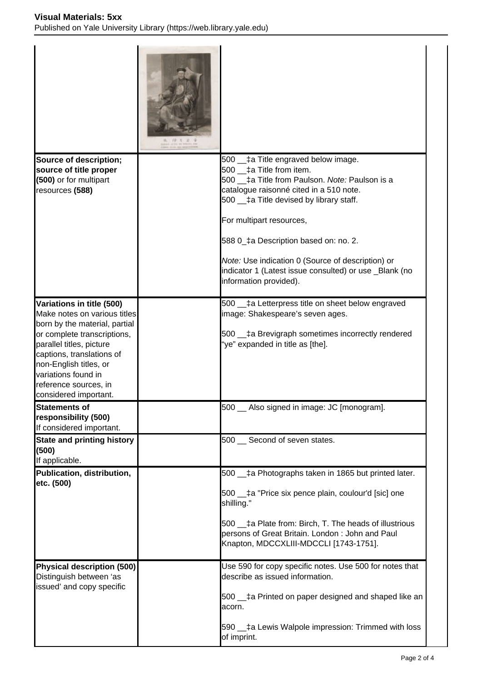| Source of description;<br>source of title proper<br>(500) or for multipart                                                                                                                                                                                                            | 500 <sub>-</sub> ta Title engraved below image.<br>500<br>‡a Title from item.<br>500 $\pm$ a Title from Paulson. Note: Paulson is a                                                                                                                                                       |
|---------------------------------------------------------------------------------------------------------------------------------------------------------------------------------------------------------------------------------------------------------------------------------------|-------------------------------------------------------------------------------------------------------------------------------------------------------------------------------------------------------------------------------------------------------------------------------------------|
| resources (588)                                                                                                                                                                                                                                                                       | catalogue raisonné cited in a 510 note.<br>$500$ $\_$ ‡a Title devised by library staff.<br>For multipart resources,<br>588 0_‡a Description based on: no. 2.                                                                                                                             |
|                                                                                                                                                                                                                                                                                       | Note: Use indication 0 (Source of description) or<br>indicator 1 (Latest issue consulted) or use _Blank (no<br>information provided).                                                                                                                                                     |
| Variations in title (500)<br>Make notes on various titles<br>born by the material, partial<br>or complete transcriptions,<br>parallel titles, picture<br>captions, translations of<br>non-English titles, or<br>variations found in<br>reference sources, in<br>considered important. | 500 ___ ‡a Letterpress title on sheet below engraved<br>image: Shakespeare's seven ages.<br>500 <sub>-</sub> ta Brevigraph sometimes incorrectly rendered<br>"ye" expanded in title as [the].                                                                                             |
| Statements of<br>responsibility (500)<br>If considered important.                                                                                                                                                                                                                     | 500 _ Also signed in image: JC [monogram].                                                                                                                                                                                                                                                |
| <b>State and printing history</b><br>(500)<br>If applicable.                                                                                                                                                                                                                          | 500 Second of seven states.                                                                                                                                                                                                                                                               |
| Publication, distribution,<br>etc. (500)                                                                                                                                                                                                                                              | 500 ___ ‡a Photographs taken in 1865 but printed later.<br>500 ___ ‡a "Price six pence plain, coulour'd [sic] one<br>shilling."<br>500 ___ ‡a Plate from: Birch, T. The heads of illustrious<br>persons of Great Britain. London: John and Paul<br>Knapton, MDCCXLIII-MDCCLI [1743-1751]. |
| Physical description (500)<br>Distinguish between 'as<br>issued' and copy specific                                                                                                                                                                                                    | Use 590 for copy specific notes. Use 500 for notes that<br>describe as issued information.<br>500 ___ ‡a Printed on paper designed and shaped like an<br>lacorn.<br>590 <sub>-</sub> ta Lewis Walpole impression: Trimmed with loss<br>of imprint.                                        |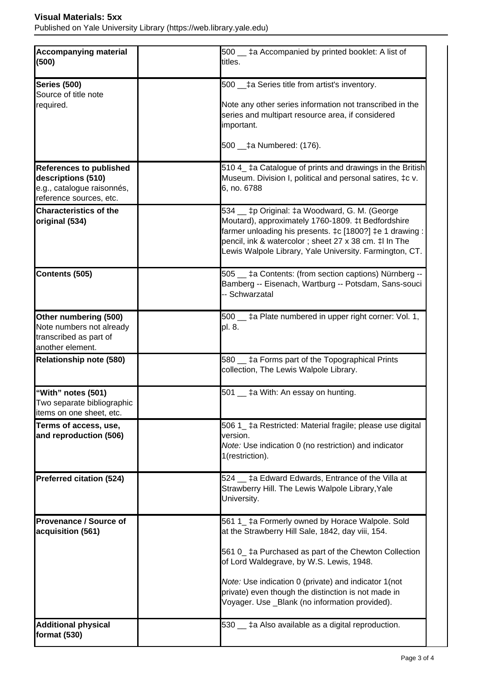Published on Yale University Library (https://web.library.yale.edu)

| Accompanying material<br>(500)                                                                                | 500 _ ta Accompanied by printed booklet: A list of<br>titles.                                                                                                                                                                                                                       |
|---------------------------------------------------------------------------------------------------------------|-------------------------------------------------------------------------------------------------------------------------------------------------------------------------------------------------------------------------------------------------------------------------------------|
| Series (500)<br>Source of title note<br>required.                                                             | 500 ___ ‡a Series title from artist's inventory.<br>Note any other series information not transcribed in the<br>series and multipart resource area, if considered<br>important.<br>500 __‡a Numbered: (176).                                                                        |
| <b>References to published</b><br>descriptions (510)<br>e.g., catalogue raisonnés,<br>reference sources, etc. | 510 4_ ‡a Catalogue of prints and drawings in the British<br>Museum. Division I, political and personal satires, ‡c v.<br>6, no. 6788                                                                                                                                               |
| <b>Characteristics of the</b><br>original (534)                                                               | 534 _ tp Original: ta Woodward, G. M. (George<br>Moutard), approximately 1760-1809. ‡t Bedfordshire<br>farmer unloading his presents. ‡c [1800?] ‡e 1 drawing :<br>pencil, ink & watercolor; sheet 27 x 38 cm. ‡l In The<br>Lewis Walpole Library, Yale University. Farmington, CT. |
| Contents (505)                                                                                                | 505 <sub>-</sub> ‡a Contents: (from section captions) Nürnberg --<br>Bamberg -- Eisenach, Wartburg -- Potsdam, Sans-souci<br>-- Schwarzatal                                                                                                                                         |
| Other numbering (500)<br>Note numbers not already<br>transcribed as part of<br>another element.               | 500 _ ‡a Plate numbered in upper right corner: Vol. 1,<br>pl. 8.                                                                                                                                                                                                                    |
| Relationship note (580)                                                                                       | 580 _ ‡a Forms part of the Topographical Prints<br>collection, The Lewis Walpole Library.                                                                                                                                                                                           |
| "With" notes (501)<br>Two separate bibliographic<br>litems on one sheet, etc.                                 | 501 <sub>-</sub> ‡a With: An essay on hunting.                                                                                                                                                                                                                                      |
| Terms of access, use,<br>and reproduction (506)                                                               | 506 1_ ‡a Restricted: Material fragile; please use digital<br>version.<br>Note: Use indication 0 (no restriction) and indicator<br>1(restriction).                                                                                                                                  |
| Preferred citation (524)                                                                                      | 524 _ ‡a Edward Edwards, Entrance of the Villa at<br>Strawberry Hill. The Lewis Walpole Library, Yale<br>University.                                                                                                                                                                |
| <b>Provenance / Source of</b><br>acquisition (561)                                                            | 561 1_ ‡a Formerly owned by Horace Walpole. Sold<br>at the Strawberry Hill Sale, 1842, day viii, 154.<br>561 0_ ‡a Purchased as part of the Chewton Collection                                                                                                                      |
|                                                                                                               | of Lord Waldegrave, by W.S. Lewis, 1948.<br>Note: Use indication 0 (private) and indicator 1 (not<br>private) even though the distinction is not made in<br>Voyager. Use _Blank (no information provided).                                                                          |
| <b>Additional physical</b><br>format (530)                                                                    | 530 _ ‡a Also available as a digital reproduction.                                                                                                                                                                                                                                  |